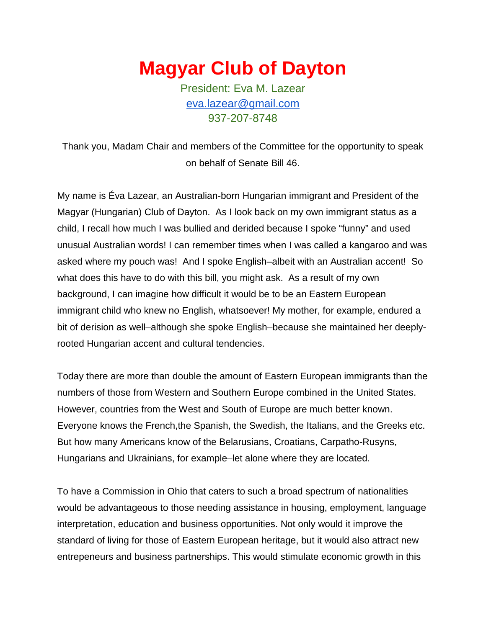**Magyar Club of Dayton**

President: Eva M. Lazear [eva.lazear@gmail.com](mailto:eva.lazear@gmail.com) 937-207-8748

Thank you, Madam Chair and members of the Committee for the opportunity to speak on behalf of Senate Bill 46.

My name is Éva Lazear, an Australian-born Hungarian immigrant and President of the Magyar (Hungarian) Club of Dayton. As I look back on my own immigrant status as a child, I recall how much I was bullied and derided because I spoke "funny" and used unusual Australian words! I can remember times when I was called a kangaroo and was asked where my pouch was! And I spoke English–albeit with an Australian accent! So what does this have to do with this bill, you might ask. As a result of my own background, I can imagine how difficult it would be to be an Eastern European immigrant child who knew no English, whatsoever! My mother, for example, endured a bit of derision as well–although she spoke English–because she maintained her deeplyrooted Hungarian accent and cultural tendencies.

Today there are more than double the amount of Eastern European immigrants than the numbers of those from Western and Southern Europe combined in the United States. However, countries from the West and South of Europe are much better known. Everyone knows the French,the Spanish, the Swedish, the Italians, and the Greeks etc. But how many Americans know of the Belarusians, Croatians, Carpatho-Rusyns, Hungarians and Ukrainians, for example–let alone where they are located.

To have a Commission in Ohio that caters to such a broad spectrum of nationalities would be advantageous to those needing assistance in housing, employment, language interpretation, education and business opportunities. Not only would it improve the standard of living for those of Eastern European heritage, but it would also attract new entrepeneurs and business partnerships. This would stimulate economic growth in this